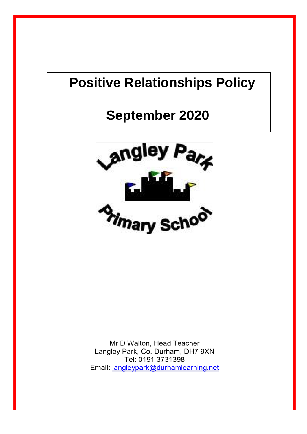# **Positive Relationships Policy**

# **September 2020**



Mr D Walton, Head Teacher Langley Park, Co. Durham, DH7 9XN Tel: 0191 3731398 Email: langleypark@durhamlearning.net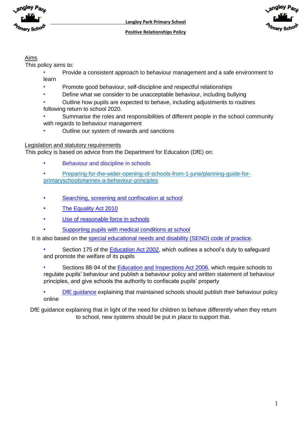



#### Aims

This policy aims to:

- Provide a consistent approach to behaviour management and a safe environment to learn
- Promote good behaviour, self-discipline and respectful relationships
- Define what we consider to be unacceptable behaviour, including bullying
- Outline how pupils are expected to behave, including adjustments to routines following return to school 2020.
- Summarise the roles and responsibilities of different people in the school community with regards to behaviour management
- Outline our system of rewards and sanctions

#### Legislation and statutory requirements

This policy is based on advice from the Department for Education (DfE) on:

- Behaviour and discipline in schools
- Preparing-for-the-wider-opening-of-schools-from-1-june/planning-guide-forprimaryschools#annex-a-behaviour-principles
- [Searching, screening and confiscation at school](https://www.gov.uk/government/publications/searching-screening-and-confiscation)
- [The Equality Act 2010](https://www.gov.uk/government/publications/equality-act-2010-advice-for-schools)
- [Use of reasonable force in schools](https://www.gov.uk/government/publications/use-of-reasonable-force-in-schools)
- [Supporting pupils with medical conditions at school](https://www.gov.uk/government/publications/supporting-pupils-at-school-with-medical-conditions--3)

It is also based on the [special educational needs and disability \(SEND\) code of practice.](https://www.gov.uk/government/publications/send-code-of-practice-0-to-25)

- Section 175 of the **Education Act 2002**, which outlines a school's duty to safeguard and promote the welfare of its pupils
- Sections 88-94 of the [Education and Inspections Act 2006,](http://www.legislation.gov.uk/ukpga/2006/40/section/88) which require schools to regulate pupils' behaviour and publish a behaviour policy and written statement of behaviour principles, and give schools the authority to confiscate pupils' property
- [DfE guidance](https://www.gov.uk/guidance/what-maintained-schools-must-publish-online#behaviour-policy) explaining that maintained schools should publish their behaviour policy online

DfE guidance explaining that in light of the need for children to behave differently when they return to school, new systems should be put in place to support that.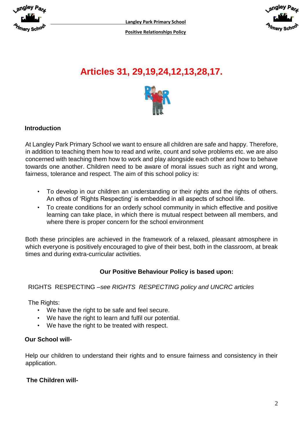



# **Articles 31, 29,19,24,12,13,28,17.**



# **Introduction**

At Langley Park Primary School we want to ensure all children are safe and happy. Therefore, in addition to teaching them how to read and write, count and solve problems etc. we are also concerned with teaching them how to work and play alongside each other and how to behave towards one another. Children need to be aware of moral issues such as right and wrong, fairness, tolerance and respect. The aim of this school policy is:

- To develop in our children an understanding or their rights and the rights of others. An ethos of 'Rights Respecting' is embedded in all aspects of school life.
- To create conditions for an orderly school community in which effective and positive learning can take place, in which there is mutual respect between all members, and where there is proper concern for the school environment

Both these principles are achieved in the framework of a relaxed, pleasant atmosphere in which everyone is positively encouraged to give of their best, both in the classroom, at break times and during extra-curricular activities.

# **Our Positive Behaviour Policy is based upon:**

# RIGHTS RESPECTING –*see RIGHTS RESPECTING policy and UNCRC articles*

The Rights:

- We have the right to be safe and feel secure.
- We have the right to learn and fulfil our potential.
- We have the right to be treated with respect.

#### **Our School will-**

Help our children to understand their rights and to ensure fairness and consistency in their application.

#### **The Children will-**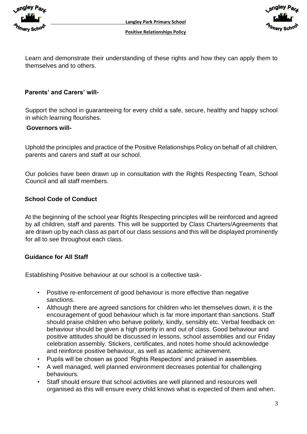



Learn and demonstrate their understanding of these rights and how they can apply them to themselves and to others.

#### **Parents' and Carers' will-**

Support the school in guaranteeing for every child a safe, secure, healthy and happy school in which learning flourishes.

#### **Governors will-**

Uphold the principles and practice of the Positive Relationships Policy on behalf of all children, parents and carers and staff at our school.

Our policies have been drawn up in consultation with the Rights Respecting Team, School Council and all staff members.

#### **School Code of Conduct**

At the beginning of the school year Rights Respecting principles will be reinforced and agreed by all children, staff and parents. This will be supported by Class Charters/Agreements that are drawn up by each class as part of our class sessions and this will be displayed prominently for all to see throughout each class.

#### **Guidance for All Staff**

Establishing Positive behaviour at our school is a collective task-

- Positive re-enforcement of good behaviour is more effective than negative sanctions.
- Although there are agreed sanctions for children who let themselves down, it is the encouragement of good behaviour which is far more important than sanctions. Staff should praise children who behave politely, kindly, sensibly etc. Verbal feedback on behaviour should be given a high priority in and out of class. Good behaviour and positive attitudes should be discussed in lessons, school assemblies and our Friday celebration assembly. Stickers, certificates, and notes home should acknowledge and reinforce positive behaviour, as well as academic achievement.
- Pupils will be chosen as good 'Rights Respectors' and praised in assemblies.
- A well managed, well planned environment decreases potential for challenging behaviours.
- Staff should ensure that school activities are well planned and resources well organised as this will ensure every child knows what is expected of them and when.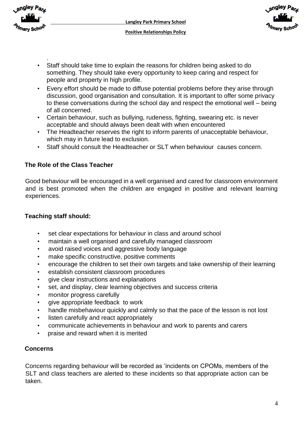



- . • Staff should take time to explain the reasons for children being asked to do something. They should take every opportunity to keep caring and respect for people and property in high profile.
- Every effort should be made to diffuse potential problems before they arise through discussion, good organisation and consultation. It is important to offer some privacy to these conversations during the school day and respect the emotional well – being of all concerned.
- Certain behaviour, such as bullying, rudeness, fighting, swearing etc. is never acceptable and should always been dealt with when encountered
- The Headteacher reserves the right to inform parents of unacceptable behaviour, which may in future lead to exclusion.
- Staff should consult the Headteacher or SLT when behaviour causes concern.

# **The Role of the Class Teacher**

Good behaviour will be encouraged in a well organised and cared for classroom environment and is best promoted when the children are engaged in positive and relevant learning experiences.

# **Teaching staff should:**

- set clear expectations for behaviour in class and around school
- maintain a well organised and carefully managed classroom
- avoid raised voices and aggressive body language
- make specific constructive, positive comments
- encourage the children to set their own targets and take ownership of their learning
- establish consistent classroom procedures
- give clear instructions and explanations
- set, and display, clear learning objectives and success criteria
- monitor progress carefully
- give appropriate feedback to work
- handle misbehaviour quickly and calmly so that the pace of the lesson is not lost
- listen carefully and react appropriately
- communicate achievements in behaviour and work to parents and carers
- praise and reward when it is merited

# **Concerns**

Concerns regarding behaviour will be recorded as 'incidents on CPOMs, members of the SLT and class teachers are alerted to these incidents so that appropriate action can be taken.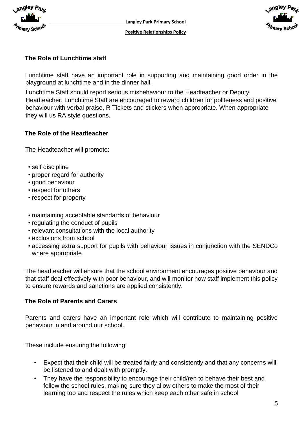



# **The Role of Lunchtime staff**

Lunchtime staff have an important role in supporting and maintaining good order in the playground at lunchtime and in the dinner hall.

Lunchtime Staff should report serious misbehaviour to the Headteacher or Deputy Headteacher. Lunchtime Staff are encouraged to reward children for politeness and positive behaviour with verbal praise, R Tickets and stickers when appropriate. When appropriate they will us RA style questions.

# **The Role of the Headteacher**

The Headteacher will promote:

- self discipline
- proper regard for authority
- good behaviour
- respect for others
- respect for property
- maintaining acceptable standards of behaviour
- regulating the conduct of pupils
- relevant consultations with the local authority
- exclusions from school
- accessing extra support for pupils with behaviour issues in conjunction with the SENDCo where appropriate

The headteacher will ensure that the school environment encourages positive behaviour and that staff deal effectively with poor behaviour, and will monitor how staff implement this policy to ensure rewards and sanctions are applied consistently.

# **The Role of Parents and Carers**

Parents and carers have an important role which will contribute to maintaining positive behaviour in and around our school.

These include ensuring the following:

- Expect that their child will be treated fairly and consistently and that any concerns will be listened to and dealt with promptly.
- They have the responsibility to encourage their child/ren to behave their best and follow the school rules, making sure they allow others to make the most of their learning too and respect the rules which keep each other safe in school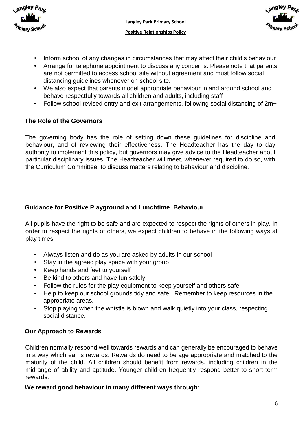



- Inform school of any changes in circumstances that may affect their child's behaviour
- Arrange for telephone appointment to discuss any concerns. Please note that parents are not permitted to access school site without agreement and must follow social distancing guidelines whenever on school site.
- We also expect that parents model appropriate behaviour in and around school and behave respectfully towards all children and adults, including staff
- Follow school revised entry and exit arrangements, following social distancing of 2m+

# **The Role of the Governors**

The governing body has the role of setting down these guidelines for discipline and behaviour, and of reviewing their effectiveness. The Headteacher has the day to day authority to implement this policy, but governors may give advice to the Headteacher about particular disciplinary issues. The Headteacher will meet, whenever required to do so, with the Curriculum Committee, to discuss matters relating to behaviour and discipline.

# **Guidance for Positive Playground and Lunchtime Behaviour**

All pupils have the right to be safe and are expected to respect the rights of others in play. In order to respect the rights of others, we expect children to behave in the following ways at play times:

- Always listen and do as you are asked by adults in our school
- Stay in the agreed play space with your group
- Keep hands and feet to yourself
- Be kind to others and have fun safely
- Follow the rules for the play equipment to keep yourself and others safe
- Help to keep our school grounds tidy and safe. Remember to keep resources in the appropriate areas.
- Stop playing when the whistle is blown and walk quietly into your class, respecting social distance.

# **Our Approach to Rewards**

Children normally respond well towards rewards and can generally be encouraged to behave in a way which earns rewards. Rewards do need to be age appropriate and matched to the maturity of the child. All children should benefit from rewards, including children in the midrange of ability and aptitude. Younger children frequently respond better to short term rewards.

# **We reward good behaviour in many different ways through:**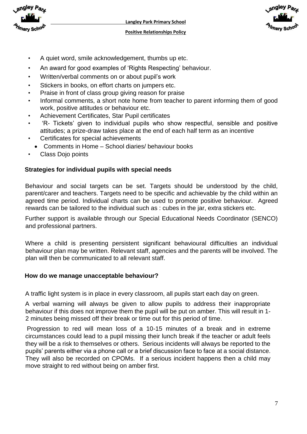



- A quiet word, smile acknowledgement, thumbs up etc.
- An award for good examples of 'Rights Respecting' behaviour.
- Written/verbal comments on or about pupil's work
- Stickers in books, on effort charts on jumpers etc.
- Praise in front of class group giving reason for praise
- Informal comments, a short note home from teacher to parent informing them of good work, positive attitudes or behaviour etc.
- Achievement Certificates, Star Pupil certificates
- 'R- Tickets' given to individual pupils who show respectful, sensible and positive attitudes; a prize-draw takes place at the end of each half term as an incentive
- Certificates for special achievements
- Comments in Home School diaries/ behaviour books
- Class Dojo points

#### **Strategies for individual pupils with special needs**

Behaviour and social targets can be set. Targets should be understood by the child, parent/carer and teachers. Targets need to be specific and achievable by the child within an agreed time period. Individual charts can be used to promote positive behaviour. Agreed rewards can be tailored to the individual such as : cubes in the jar, extra stickers etc.

Further support is available through our Special Educational Needs Coordinator (SENCO) and professional partners.

Where a child is presenting persistent significant behavioural difficulties an individual behaviour plan may be written. Relevant staff, agencies and the parents will be involved. The plan will then be communicated to all relevant staff.

#### **How do we manage unacceptable behaviour?**

A traffic light system is in place in every classroom, all pupils start each day on green.

A verbal warning will always be given to allow pupils to address their inappropriate behaviour if this does not improve them the pupil will be put on amber. This will result in 1- 2 minutes being missed off their break or time out for this period of time.

Progression to red will mean loss of a 10-15 minutes of a break and in extreme circumstances could lead to a pupil missing their lunch break if the teacher or adult feels they will be a risk to themselves or others. Serious incidents will always be reported to the pupils' parents either via a phone call or a brief discussion face to face at a social distance. They will also be recorded on CPOMs. If a serious incident happens then a child may move straight to red without being on amber first.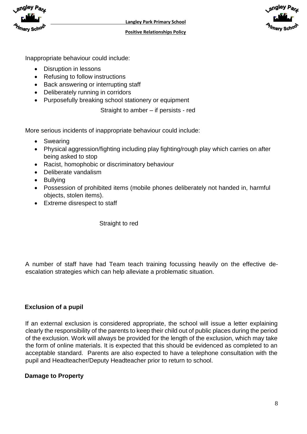



Inappropriate behaviour could include:

- Disruption in lessons
- Refusing to follow instructions
- Back answering or interrupting staff
- Deliberately running in corridors
- Purposefully breaking school stationery or equipment

Straight to amber – if persists - red

More serious incidents of inappropriate behaviour could include:

- Swearing
- Physical aggression/fighting including play fighting/rough play which carries on after being asked to stop
- Racist, homophobic or discriminatory behaviour
- Deliberate vandalism
- Bullying
- Possession of prohibited items (mobile phones deliberately not handed in, harmful objects, stolen items).
- Extreme disrespect to staff

Straight to red

A number of staff have had Team teach training focussing heavily on the effective deescalation strategies which can help alleviate a problematic situation.

# **Exclusion of a pupil**

If an external exclusion is considered appropriate, the school will issue a letter explaining clearly the responsibility of the parents to keep their child out of public places during the period of the exclusion. Work will always be provided for the length of the exclusion, which may take the form of online materials. It is expected that this should be evidenced as completed to an acceptable standard. Parents are also expected to have a telephone consultation with the pupil and Headteacher/Deputy Headteacher prior to return to school.

# **Damage to Property**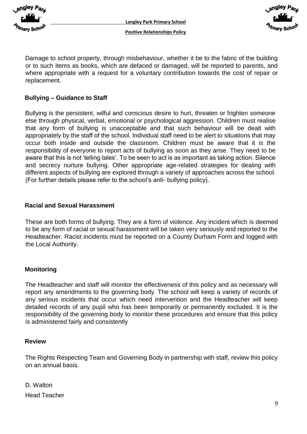



Damage to school property, through misbehaviour, whether it be to the fabric of the building or to such items as books, which are defaced or damaged, will be reported to parents, and where appropriate with a request for a voluntary contribution towards the cost of repair or replacement.

# **Bullying – Guidance to Staff**

Bullying is the persistent, wilful and conscious desire to hurt, threaten or frighten someone else through physical, verbal, emotional or psychological aggression. Children must realise that any form of bullying is unacceptable and that such behaviour will be dealt with appropriately by the staff of the school. Individual staff need to be alert to situations that may occur both inside and outside the classroom. Children must be aware that it is the responsibility of everyone to report acts of bullying as soon as they arise. They need to be aware that this is not 'telling tales'. To be seen to act is as important as taking action. Silence and secrecy nurture bullying. Other appropriate age-related strategies for dealing with different aspects of bullying are explored through a variety of approaches across the school. (For further details please refer to the school's anti- bullying policy).

#### **Racial and Sexual Harassment**

These are both forms of bullying. They are a form of violence. Any incident which is deemed to be any form of racial or sexual harassment will be taken very seriously and reported to the Headteacher. Racist incidents must be reported on a County Durham Form and logged with the Local Authority.

#### **Monitoring**

The Headteacher and staff will monitor the effectiveness of this policy and as necessary will report any amendments to the governing body. The school will keep a variety of records of any serious incidents that occur which need intervention and the Headteacher will keep detailed records of any pupil who has been temporarily or permanently excluded. It is the responsibility of the governing body to monitor these procedures and ensure that this policy is administered fairly and consistently

#### **Review**

The Rights Respecting Team and Governing Body in partnership with staff, review this policy on an annual basis.

D. Walton Head Teacher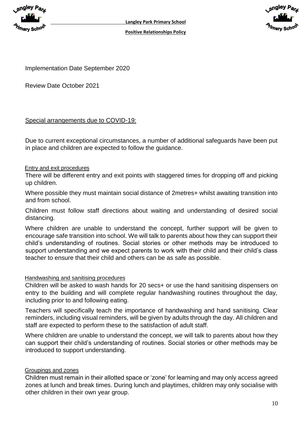



Implementation Date September 2020

Review Date October 2021

# Special arrangements due to COVID-19:

Due to current exceptional circumstances, a number of additional safeguards have been put in place and children are expected to follow the guidance.

#### Entry and exit procedures

There will be different entry and exit points with staggered times for dropping off and picking up children.

Where possible they must maintain social distance of 2metres+ whilst awaiting transition into and from school.

Children must follow staff directions about waiting and understanding of desired social distancing.

Where children are unable to understand the concept, further support will be given to encourage safe transition into school. We will talk to parents about how they can support their child's understanding of routines. Social stories or other methods may be introduced to support understanding and we expect parents to work with their child and their child's class teacher to ensure that their child and others can be as safe as possible.

#### Handwashing and sanitising procedures

Children will be asked to wash hands for 20 secs+ or use the hand sanitising dispensers on entry to the building and will complete regular handwashing routines throughout the day, including prior to and following eating.

Teachers will specifically teach the importance of handwashing and hand sanitising. Clear reminders, including visual reminders, will be given by adults through the day. All children and staff are expected to perform these to the satisfaction of adult staff.

Where children are unable to understand the concept, we will talk to parents about how they can support their child's understanding of routines. Social stories or other methods may be introduced to support understanding.

# Groupings and zones

Children must remain in their allotted space or 'zone' for learning and may only access agreed zones at lunch and break times. During lunch and playtimes, children may only socialise with other children in their own year group.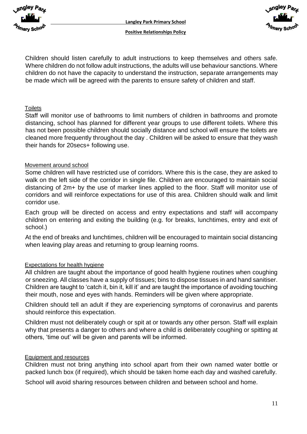



Children should listen carefully to adult instructions to keep themselves and others safe. Where children do not follow adult instructions, the adults will use behaviour sanctions. Where children do not have the capacity to understand the instruction, separate arrangements may be made which will be agreed with the parents to ensure safety of children and staff.

#### **Toilets**

Staff will monitor use of bathrooms to limit numbers of children in bathrooms and promote distancing, school has planned for different year groups to use different toilets. Where this has not been possible children should socially distance and school will ensure the toilets are cleaned more frequently throughout the day . Children will be asked to ensure that they wash their hands for 20secs+ following use.

#### Movement around school

Some children will have restricted use of corridors. Where this is the case, they are asked to walk on the left side of the corridor in single file. Children are encouraged to maintain social distancing of 2m+ by the use of marker lines applied to the floor. Staff will monitor use of corridors and will reinforce expectations for use of this area. Children should walk and limit corridor use.

Each group will be directed on access and entry expectations and staff will accompany children on entering and exiting the building (e.g. for breaks, lunchtimes, entry and exit of school.)

At the end of breaks and lunchtimes, children will be encouraged to maintain social distancing when leaving play areas and returning to group learning rooms.

# Expectations for health hygiene

All children are taught about the importance of good health hygiene routines when coughing or sneezing. All classes have a supply of tissues; bins to dispose tissues in and hand sanitiser. Children are taught to 'catch it, bin it, kill it' and are taught the importance of avoiding touching their mouth, nose and eyes with hands. Reminders will be given where appropriate.

Children should tell an adult if they are experiencing symptoms of coronavirus and parents should reinforce this expectation.

Children must not deliberately cough or spit at or towards any other person. Staff will explain why that presents a danger to others and where a child is deliberately coughing or spitting at others, 'time out' will be given and parents will be informed.

#### Equipment and resources

Children must not bring anything into school apart from their own named water bottle or packed lunch box (if required), which should be taken home each day and washed carefully.

School will avoid sharing resources between children and between school and home.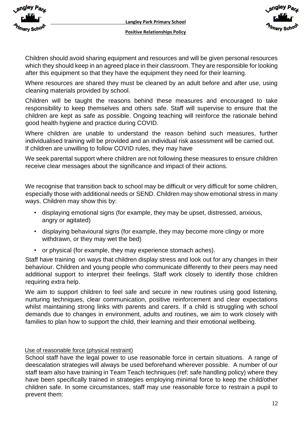



Children should avoid sharing equipment and resources and will be given personal resources which they should keep in an agreed place in their classroom. They are responsible for looking after this equipment so that they have the equipment they need for their learning.

Where resources are shared they must be cleaned by an adult before and after use, using cleaning materials provided by school.

Children will be taught the reasons behind these measures and encouraged to take responsibility to keep themselves and others safe. Staff will supervise to ensure that the children are kept as safe as possible. Ongoing teaching will reinforce the rationale behind good health hygiene and practice during COVID.

Where children are unable to understand the reason behind such measures, further individualised training will be provided and an individual risk assessment will be carried out. If children are unwilling to follow COVID rules, they may have

We seek parental support where children are not following these measures to ensure children receive clear messages about the significance and impact of their actions.

We recognise that transition back to school may be difficult or very difficult for some children, especially those with additional needs or SEND. Children may show emotional stress in many ways. Children may show this by:

- displaying emotional signs (for example, they may be upset, distressed, anxious, angry or agitated)
- displaying behavioural signs (for example, they may become more clingy or more withdrawn, or they may wet the bed)
- or physical (for example, they may experience stomach aches).

Staff have training on ways that children display stress and look out for any changes in their behaviour. Children and young people who communicate differently to their peers may need additional support to interpret their feelings. Staff work closely to identify those children requiring extra help.

We aim to support children to feel safe and secure in new routines using good listening, nurturing techniques, clear communication, positive reinforcement and clear expectations whilst maintaining strong links with parents and carers. If a child is struggling with school demands due to changes in environment, adults and routines, we aim to work closely with families to plan how to support the child, their learning and their emotional wellbeing.

# Use of reasonable force (physical restraint)

School staff have the legal power to use reasonable force in certain situations. A range of deescalation strategies will always be used beforehand wherever possible. A number of our staff team also have training in Team Teach techniques (ref: safe handling policy) where they have been specifically trained in strategies employing minimal force to keep the child/other children safe. In some circumstances, staff may use reasonable force to restrain a pupil to prevent them: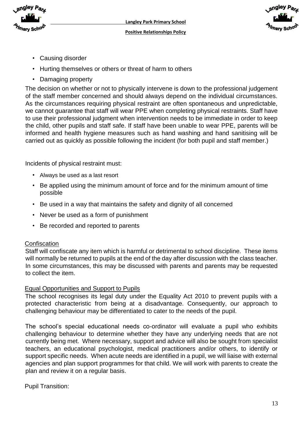



- Causing disorder
- Hurting themselves or others or threat of harm to others
- Damaging property

The decision on whether or not to physically intervene is down to the professional judgement of the staff member concerned and should always depend on the individual circumstances. As the circumstances requiring physical restraint are often spontaneous and unpredictable, we cannot guarantee that staff will wear PPE when completing physical restraints. Staff have to use their professional judgment when intervention needs to be immediate in order to keep the child, other pupils and staff safe. If staff have been unable to wear PPE, parents will be informed and health hygiene measures such as hand washing and hand sanitising will be carried out as quickly as possible following the incident (for both pupil and staff member.)

Incidents of physical restraint must:

- Always be used as a last resort
- Be applied using the minimum amount of force and for the minimum amount of time possible
- Be used in a way that maintains the safety and dignity of all concerned
- Never be used as a form of punishment
- Be recorded and reported to parents

#### **Confiscation**

Staff will confiscate any item which is harmful or detrimental to school discipline. These items will normally be returned to pupils at the end of the day after discussion with the class teacher. In some circumstances, this may be discussed with parents and parents may be requested to collect the item.

#### Equal Opportunities and Support to Pupils

The school recognises its legal duty under the Equality Act 2010 to prevent pupils with a protected characteristic from being at a disadvantage. Consequently, our approach to challenging behaviour may be differentiated to cater to the needs of the pupil.

The school's special educational needs co-ordinator will evaluate a pupil who exhibits challenging behaviour to determine whether they have any underlying needs that are not currently being met. Where necessary, support and advice will also be sought from specialist teachers, an educational psychologist, medical practitioners and/or others, to identify or support specific needs. When acute needs are identified in a pupil, we will liaise with external agencies and plan support programmes for that child. We will work with parents to create the plan and review it on a regular basis.

Pupil Transition: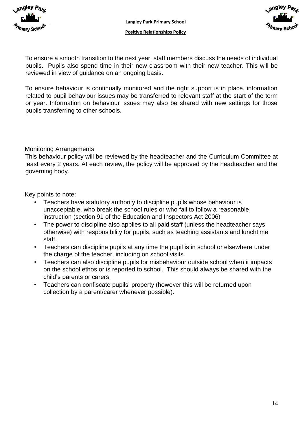



To ensure a smooth transition to the next year, staff members discuss the needs of individual pupils. Pupils also spend time in their new classroom with their new teacher. This will be reviewed in view of guidance on an ongoing basis.

To ensure behaviour is continually monitored and the right support is in place, information related to pupil behaviour issues may be transferred to relevant staff at the start of the term or year. Information on behaviour issues may also be shared with new settings for those pupils transferring to other schools.

Monitoring Arrangements

This behaviour policy will be reviewed by the headteacher and the Curriculum Committee at least every 2 years. At each review, the policy will be approved by the headteacher and the governing body.

Key points to note:

- Teachers have statutory authority to discipline pupils whose behaviour is unacceptable, who break the school rules or who fail to follow a reasonable instruction (section 91 of the Education and Inspectors Act 2006)
- The power to discipline also applies to all paid staff (unless the headteacher says otherwise) with responsibility for pupils, such as teaching assistants and lunchtime staff.
- Teachers can discipline pupils at any time the pupil is in school or elsewhere under the charge of the teacher, including on school visits.
- Teachers can also discipline pupils for misbehaviour outside school when it impacts on the school ethos or is reported to school. This should always be shared with the child's parents or carers.
- Teachers can confiscate pupils' property (however this will be returned upon collection by a parent/carer whenever possible).